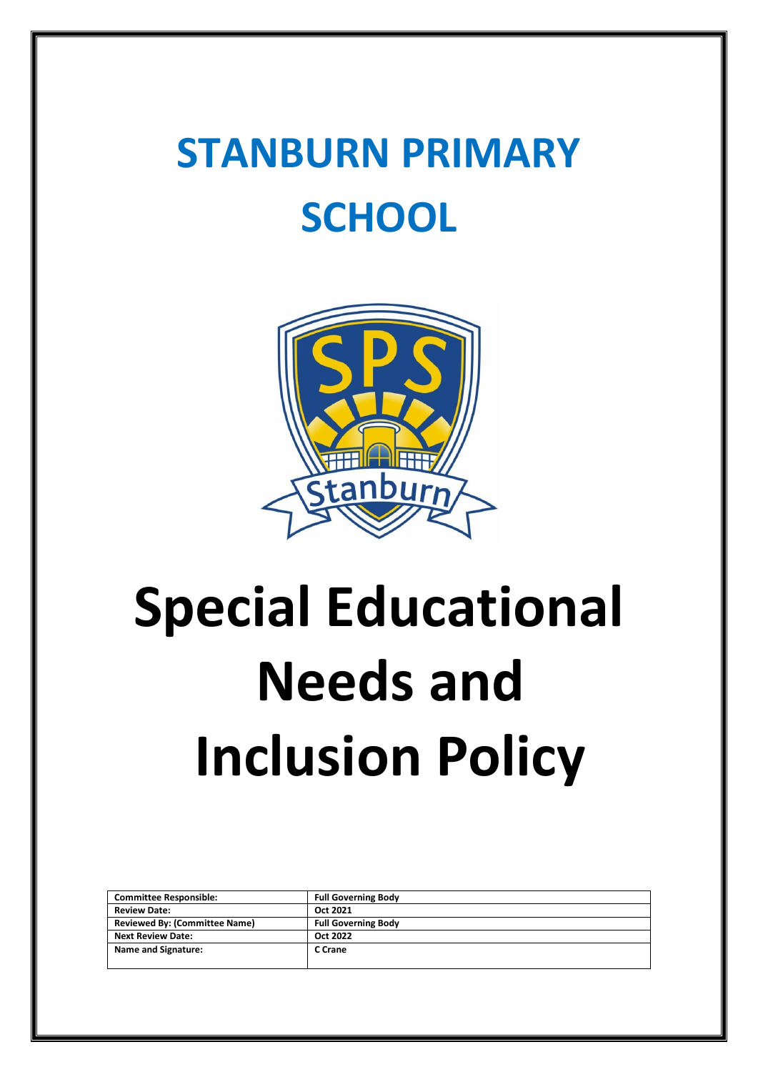# **STANBURN PRIMARY SCHOOL**



# **Special Educational Needs and Inclusion Policy**

| <b>Committee Responsible:</b>        | <b>Full Governing Body</b> |
|--------------------------------------|----------------------------|
|                                      |                            |
| <b>Review Date:</b>                  | Oct 2021                   |
| <b>Reviewed By: (Committee Name)</b> | <b>Full Governing Body</b> |
| <b>Next Review Date:</b>             | Oct 2022                   |
| <b>Name and Signature:</b>           | C Crane                    |
|                                      |                            |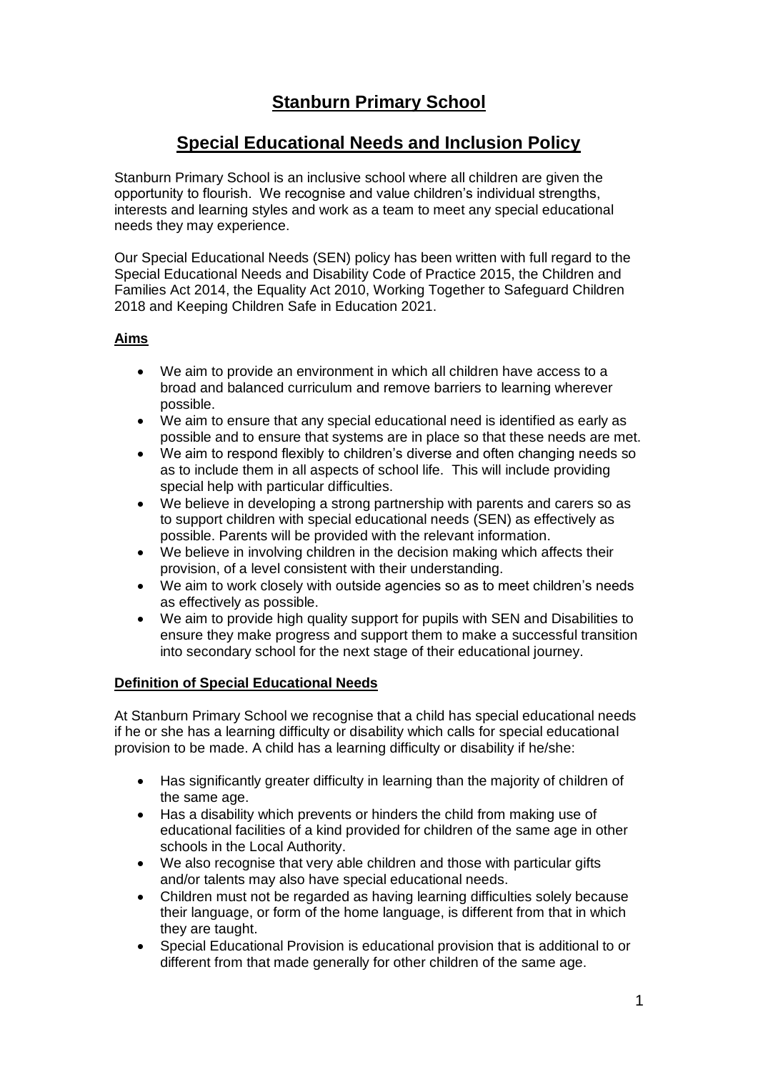## **Stanburn Primary School**

### **Special Educational Needs and Inclusion Policy**

Stanburn Primary School is an inclusive school where all children are given the opportunity to flourish. We recognise and value children's individual strengths, interests and learning styles and work as a team to meet any special educational needs they may experience.

Our Special Educational Needs (SEN) policy has been written with full regard to the Special Educational Needs and Disability Code of Practice 2015, the Children and Families Act 2014, the Equality Act 2010, Working Together to Safeguard Children 2018 and Keeping Children Safe in Education 2021.

#### **Aims**

- We aim to provide an environment in which all children have access to a broad and balanced curriculum and remove barriers to learning wherever possible.
- We aim to ensure that any special educational need is identified as early as possible and to ensure that systems are in place so that these needs are met.
- We aim to respond flexibly to children's diverse and often changing needs so as to include them in all aspects of school life. This will include providing special help with particular difficulties.
- We believe in developing a strong partnership with parents and carers so as to support children with special educational needs (SEN) as effectively as possible. Parents will be provided with the relevant information.
- We believe in involving children in the decision making which affects their provision, of a level consistent with their understanding.
- We aim to work closely with outside agencies so as to meet children's needs as effectively as possible.
- We aim to provide high quality support for pupils with SEN and Disabilities to ensure they make progress and support them to make a successful transition into secondary school for the next stage of their educational journey.

#### **Definition of Special Educational Needs**

At Stanburn Primary School we recognise that a child has special educational needs if he or she has a learning difficulty or disability which calls for special educational provision to be made. A child has a learning difficulty or disability if he/she:

- Has significantly greater difficulty in learning than the majority of children of the same age.
- Has a disability which prevents or hinders the child from making use of educational facilities of a kind provided for children of the same age in other schools in the Local Authority.
- We also recognise that very able children and those with particular gifts and/or talents may also have special educational needs.
- Children must not be regarded as having learning difficulties solely because their language, or form of the home language, is different from that in which they are taught.
- Special Educational Provision is educational provision that is additional to or different from that made generally for other children of the same age.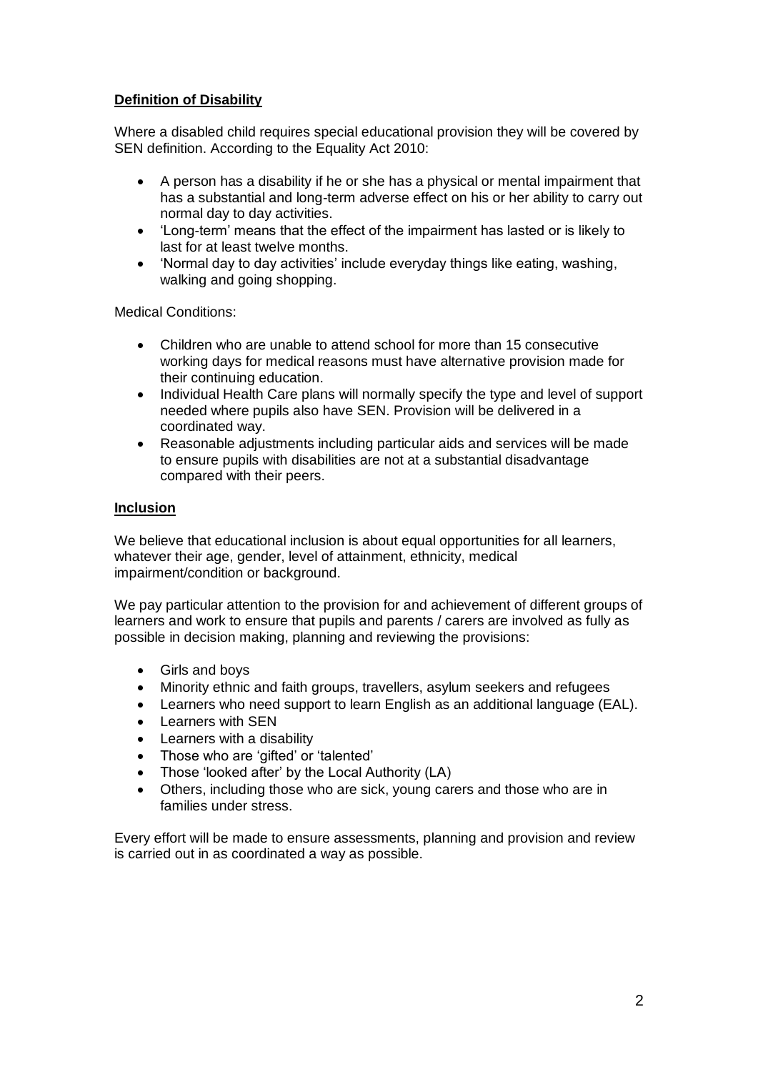#### **Definition of Disability**

Where a disabled child requires special educational provision they will be covered by SEN definition. According to the Equality Act 2010:

- A person has a disability if he or she has a physical or mental impairment that has a substantial and long-term adverse effect on his or her ability to carry out normal day to day activities.
- 'Long-term' means that the effect of the impairment has lasted or is likely to last for at least twelve months.
- 'Normal day to day activities' include everyday things like eating, washing, walking and going shopping.

Medical Conditions:

- Children who are unable to attend school for more than 15 consecutive working days for medical reasons must have alternative provision made for their continuing education.
- Individual Health Care plans will normally specify the type and level of support needed where pupils also have SEN. Provision will be delivered in a coordinated way.
- Reasonable adjustments including particular aids and services will be made to ensure pupils with disabilities are not at a substantial disadvantage compared with their peers.

#### **Inclusion**

We believe that educational inclusion is about equal opportunities for all learners, whatever their age, gender, level of attainment, ethnicity, medical impairment/condition or background.

We pay particular attention to the provision for and achievement of different groups of learners and work to ensure that pupils and parents / carers are involved as fully as possible in decision making, planning and reviewing the provisions:

- Girls and boys
- Minority ethnic and faith groups, travellers, asylum seekers and refugees
- Learners who need support to learn English as an additional language (EAL).
- Learners with SEN
- Learners with a disability
- Those who are 'gifted' or 'talented'
- Those 'looked after' by the Local Authority (LA)
- Others, including those who are sick, young carers and those who are in families under stress.

Every effort will be made to ensure assessments, planning and provision and review is carried out in as coordinated a way as possible.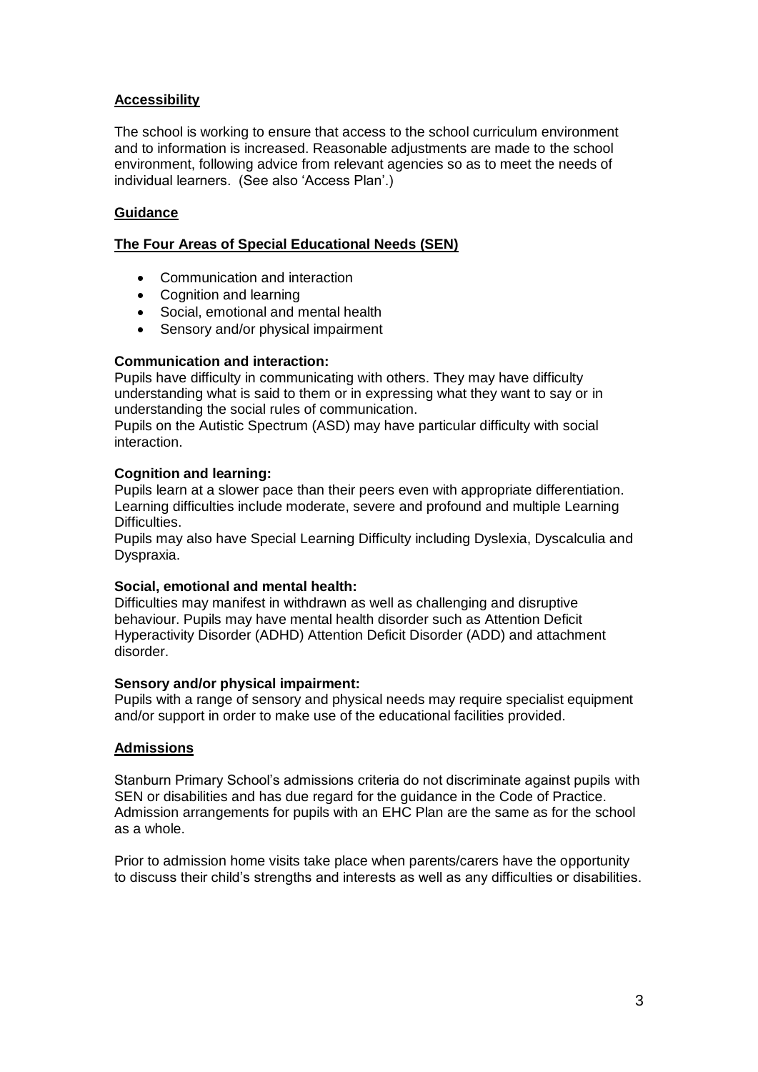#### **Accessibility**

The school is working to ensure that access to the school curriculum environment and to information is increased. Reasonable adjustments are made to the school environment, following advice from relevant agencies so as to meet the needs of individual learners. (See also 'Access Plan'.)

#### **Guidance**

#### **The Four Areas of Special Educational Needs (SEN)**

- Communication and interaction
- Cognition and learning
- Social, emotional and mental health
- Sensory and/or physical impairment

#### **Communication and interaction:**

Pupils have difficulty in communicating with others. They may have difficulty understanding what is said to them or in expressing what they want to say or in understanding the social rules of communication.

Pupils on the Autistic Spectrum (ASD) may have particular difficulty with social interaction.

#### **Cognition and learning:**

Pupils learn at a slower pace than their peers even with appropriate differentiation. Learning difficulties include moderate, severe and profound and multiple Learning Difficulties.

Pupils may also have Special Learning Difficulty including Dyslexia, Dyscalculia and Dyspraxia.

#### **Social, emotional and mental health:**

Difficulties may manifest in withdrawn as well as challenging and disruptive behaviour. Pupils may have mental health disorder such as Attention Deficit Hyperactivity Disorder (ADHD) Attention Deficit Disorder (ADD) and attachment disorder.

#### **Sensory and/or physical impairment:**

Pupils with a range of sensory and physical needs may require specialist equipment and/or support in order to make use of the educational facilities provided.

#### **Admissions**

Stanburn Primary School's admissions criteria do not discriminate against pupils with SEN or disabilities and has due regard for the guidance in the Code of Practice. Admission arrangements for pupils with an EHC Plan are the same as for the school as a whole.

Prior to admission home visits take place when parents/carers have the opportunity to discuss their child's strengths and interests as well as any difficulties or disabilities.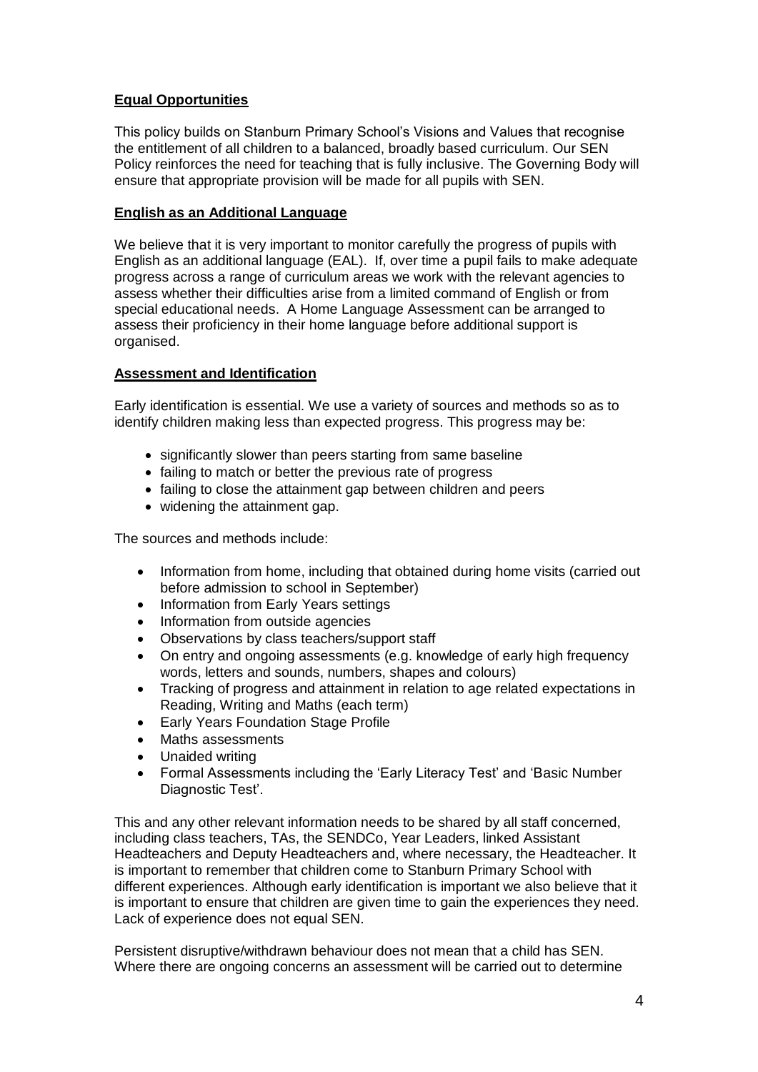#### **Equal Opportunities**

This policy builds on Stanburn Primary School's Visions and Values that recognise the entitlement of all children to a balanced, broadly based curriculum. Our SEN Policy reinforces the need for teaching that is fully inclusive. The Governing Body will ensure that appropriate provision will be made for all pupils with SEN.

#### **English as an Additional Language**

We believe that it is very important to monitor carefully the progress of pupils with English as an additional language (EAL). If, over time a pupil fails to make adequate progress across a range of curriculum areas we work with the relevant agencies to assess whether their difficulties arise from a limited command of English or from special educational needs. A Home Language Assessment can be arranged to assess their proficiency in their home language before additional support is organised.

#### **Assessment and Identification**

Early identification is essential. We use a variety of sources and methods so as to identify children making less than expected progress. This progress may be:

- significantly slower than peers starting from same baseline
- failing to match or better the previous rate of progress
- failing to close the attainment gap between children and peers
- widening the attainment gap.

The sources and methods include:

- Information from home, including that obtained during home visits (carried out before admission to school in September)
- Information from Early Years settings
- Information from outside agencies
- Observations by class teachers/support staff
- On entry and ongoing assessments (e.g. knowledge of early high frequency words, letters and sounds, numbers, shapes and colours)
- Tracking of progress and attainment in relation to age related expectations in Reading, Writing and Maths (each term)
- Early Years Foundation Stage Profile
- Maths assessments
- Unaided writing
- Formal Assessments including the 'Early Literacy Test' and 'Basic Number Diagnostic Test'.

This and any other relevant information needs to be shared by all staff concerned, including class teachers, TAs, the SENDCo, Year Leaders, linked Assistant Headteachers and Deputy Headteachers and, where necessary, the Headteacher. It is important to remember that children come to Stanburn Primary School with different experiences. Although early identification is important we also believe that it is important to ensure that children are given time to gain the experiences they need. Lack of experience does not equal SEN.

Persistent disruptive/withdrawn behaviour does not mean that a child has SEN. Where there are ongoing concerns an assessment will be carried out to determine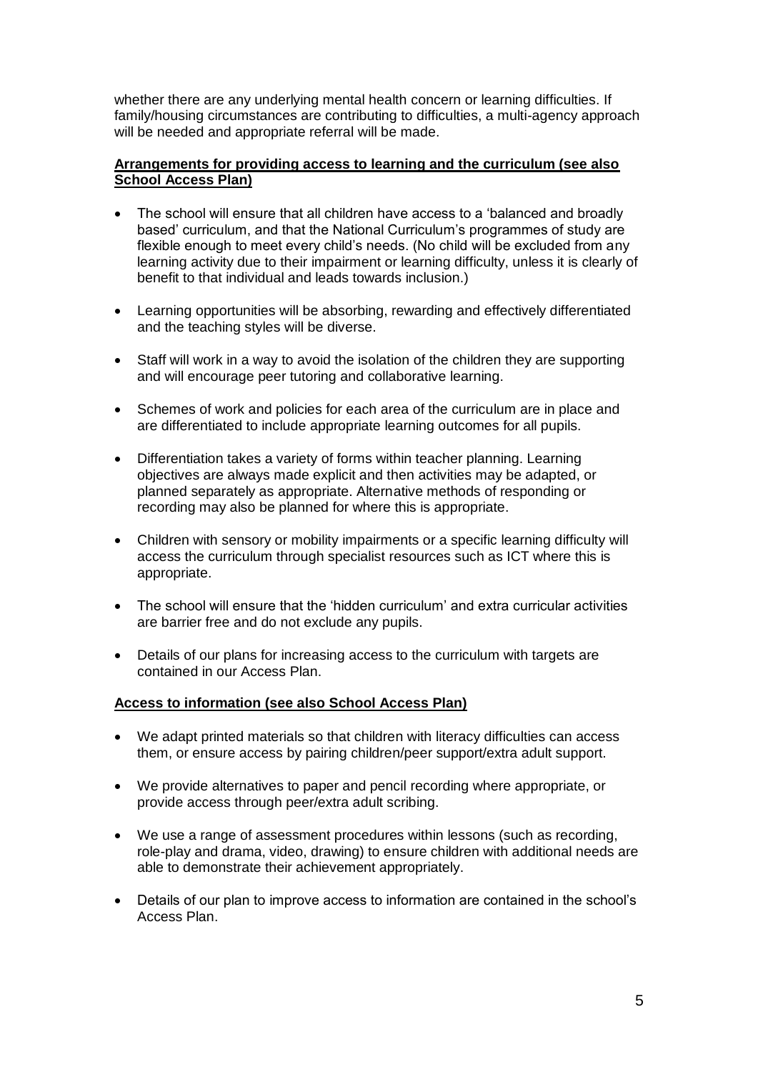whether there are any underlying mental health concern or learning difficulties. If family/housing circumstances are contributing to difficulties, a multi-agency approach will be needed and appropriate referral will be made.

#### **Arrangements for providing access to learning and the curriculum (see also School Access Plan)**

- The school will ensure that all children have access to a 'balanced and broadly based' curriculum, and that the National Curriculum's programmes of study are flexible enough to meet every child's needs. (No child will be excluded from any learning activity due to their impairment or learning difficulty, unless it is clearly of benefit to that individual and leads towards inclusion.)
- Learning opportunities will be absorbing, rewarding and effectively differentiated and the teaching styles will be diverse.
- Staff will work in a way to avoid the isolation of the children they are supporting and will encourage peer tutoring and collaborative learning.
- Schemes of work and policies for each area of the curriculum are in place and are differentiated to include appropriate learning outcomes for all pupils.
- Differentiation takes a variety of forms within teacher planning. Learning objectives are always made explicit and then activities may be adapted, or planned separately as appropriate. Alternative methods of responding or recording may also be planned for where this is appropriate.
- Children with sensory or mobility impairments or a specific learning difficulty will access the curriculum through specialist resources such as ICT where this is appropriate.
- The school will ensure that the 'hidden curriculum' and extra curricular activities are barrier free and do not exclude any pupils.
- Details of our plans for increasing access to the curriculum with targets are contained in our Access Plan.

#### **Access to information (see also School Access Plan)**

- We adapt printed materials so that children with literacy difficulties can access them, or ensure access by pairing children/peer support/extra adult support.
- We provide alternatives to paper and pencil recording where appropriate, or provide access through peer/extra adult scribing.
- We use a range of assessment procedures within lessons (such as recording, role-play and drama, video, drawing) to ensure children with additional needs are able to demonstrate their achievement appropriately.
- Details of our plan to improve access to information are contained in the school's Access Plan.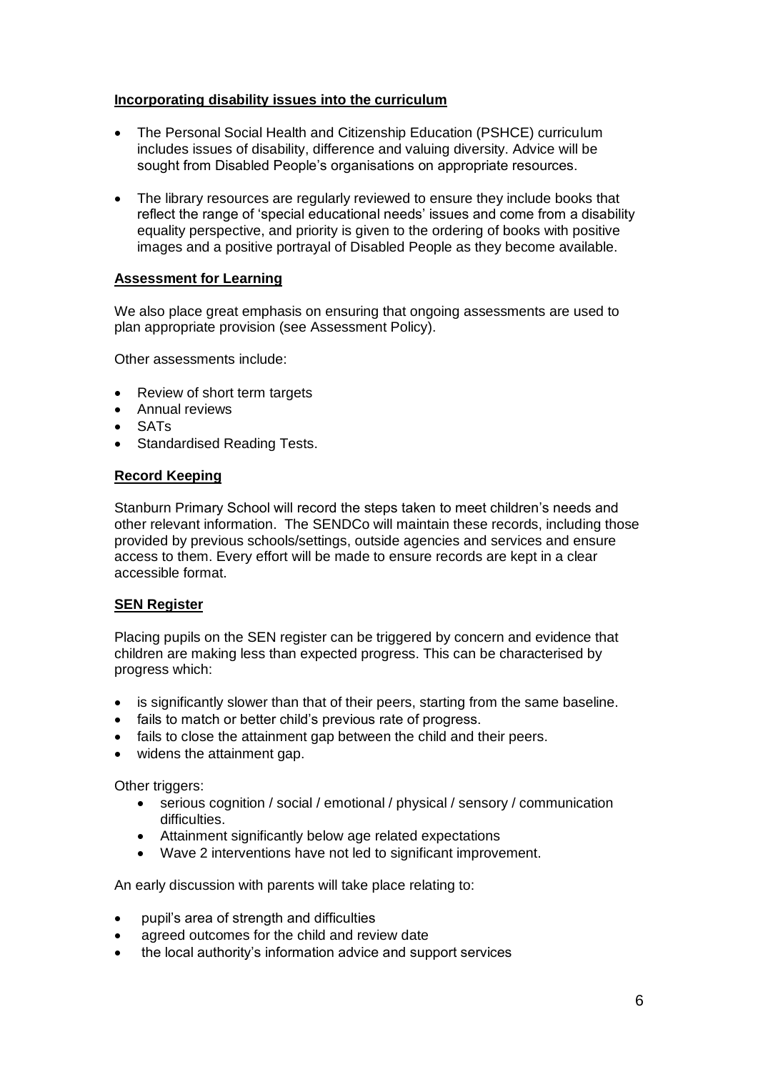#### **Incorporating disability issues into the curriculum**

- The Personal Social Health and Citizenship Education (PSHCE) curriculum includes issues of disability, difference and valuing diversity. Advice will be sought from Disabled People's organisations on appropriate resources.
- The library resources are regularly reviewed to ensure they include books that reflect the range of 'special educational needs' issues and come from a disability equality perspective, and priority is given to the ordering of books with positive images and a positive portrayal of Disabled People as they become available.

#### **Assessment for Learning**

We also place great emphasis on ensuring that ongoing assessments are used to plan appropriate provision (see Assessment Policy).

Other assessments include:

- Review of short term targets
- Annual reviews
- SATs
- Standardised Reading Tests.

#### **Record Keeping**

Stanburn Primary School will record the steps taken to meet children's needs and other relevant information. The SENDCo will maintain these records, including those provided by previous schools/settings, outside agencies and services and ensure access to them. Every effort will be made to ensure records are kept in a clear accessible format.

#### **SEN Register**

Placing pupils on the SEN register can be triggered by concern and evidence that children are making less than expected progress. This can be characterised by progress which:

- is significantly slower than that of their peers, starting from the same baseline.
- fails to match or better child's previous rate of progress.
- fails to close the attainment gap between the child and their peers.
- widens the attainment gap.

Other triggers:

- serious cognition / social / emotional / physical / sensory / communication difficulties.
- Attainment significantly below age related expectations
- Wave 2 interventions have not led to significant improvement.

An early discussion with parents will take place relating to:

- pupil's area of strength and difficulties
- agreed outcomes for the child and review date
- the local authority's information advice and support services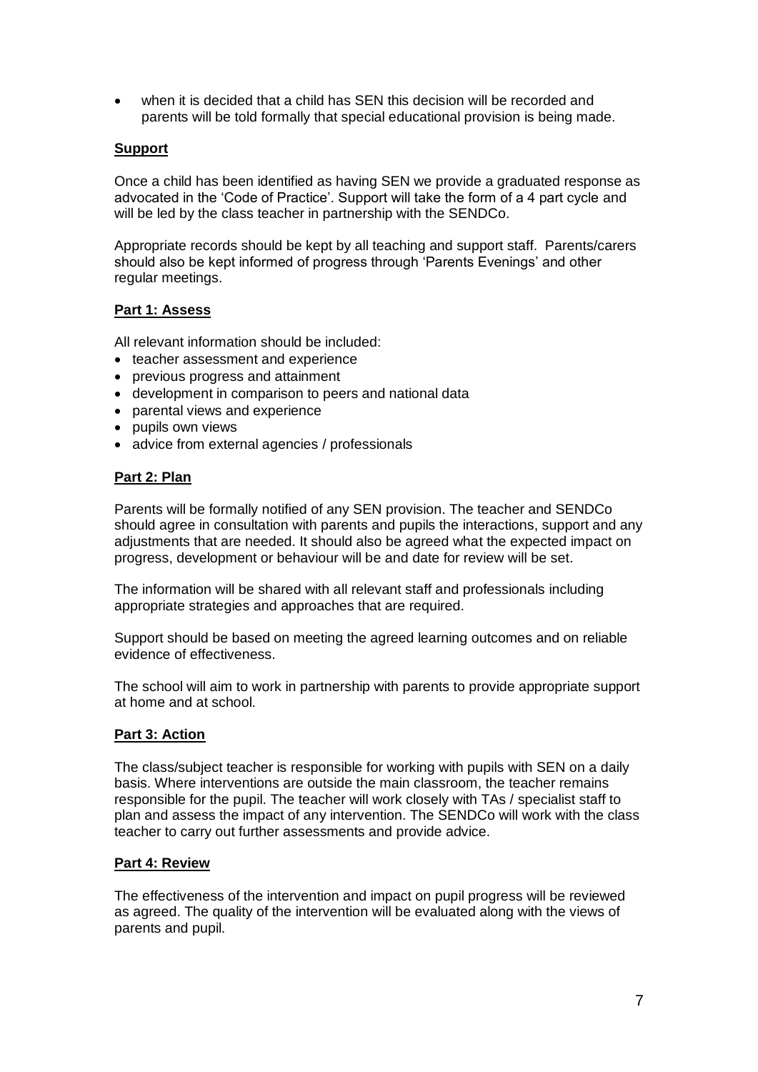when it is decided that a child has SEN this decision will be recorded and parents will be told formally that special educational provision is being made.

#### **Support**

Once a child has been identified as having SEN we provide a graduated response as advocated in the 'Code of Practice'. Support will take the form of a 4 part cycle and will be led by the class teacher in partnership with the SENDCo.

Appropriate records should be kept by all teaching and support staff. Parents/carers should also be kept informed of progress through 'Parents Evenings' and other regular meetings.

#### **Part 1: Assess**

All relevant information should be included:

- teacher assessment and experience
- previous progress and attainment
- development in comparison to peers and national data
- parental views and experience
- pupils own views
- advice from external agencies / professionals

#### **Part 2: Plan**

Parents will be formally notified of any SEN provision. The teacher and SENDCo should agree in consultation with parents and pupils the interactions, support and any adjustments that are needed. It should also be agreed what the expected impact on progress, development or behaviour will be and date for review will be set.

The information will be shared with all relevant staff and professionals including appropriate strategies and approaches that are required.

Support should be based on meeting the agreed learning outcomes and on reliable evidence of effectiveness.

The school will aim to work in partnership with parents to provide appropriate support at home and at school.

#### **Part 3: Action**

The class/subject teacher is responsible for working with pupils with SEN on a daily basis. Where interventions are outside the main classroom, the teacher remains responsible for the pupil. The teacher will work closely with TAs / specialist staff to plan and assess the impact of any intervention. The SENDCo will work with the class teacher to carry out further assessments and provide advice.

#### **Part 4: Review**

The effectiveness of the intervention and impact on pupil progress will be reviewed as agreed. The quality of the intervention will be evaluated along with the views of parents and pupil.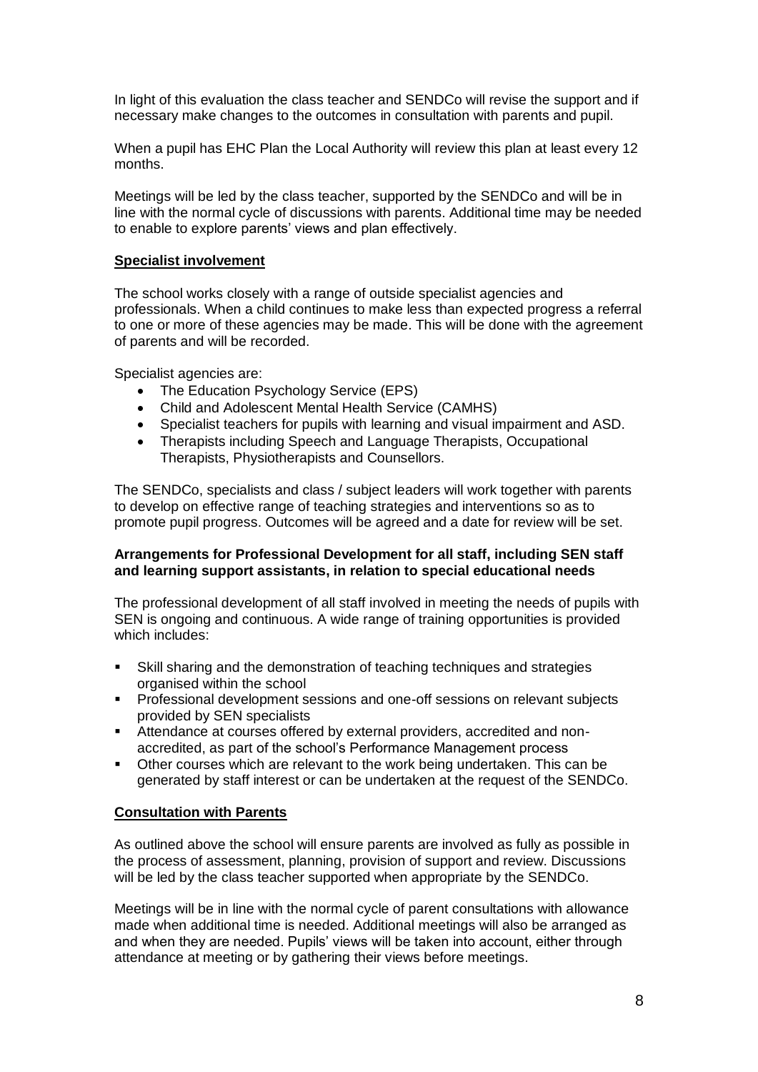In light of this evaluation the class teacher and SENDCo will revise the support and if necessary make changes to the outcomes in consultation with parents and pupil.

When a pupil has EHC Plan the Local Authority will review this plan at least every 12 months.

Meetings will be led by the class teacher, supported by the SENDCo and will be in line with the normal cycle of discussions with parents. Additional time may be needed to enable to explore parents' views and plan effectively.

#### **Specialist involvement**

The school works closely with a range of outside specialist agencies and professionals. When a child continues to make less than expected progress a referral to one or more of these agencies may be made. This will be done with the agreement of parents and will be recorded.

Specialist agencies are:

- The Education Psychology Service (EPS)
- Child and Adolescent Mental Health Service (CAMHS)
- Specialist teachers for pupils with learning and visual impairment and ASD.
- Therapists including Speech and Language Therapists, Occupational Therapists, Physiotherapists and Counsellors.

The SENDCo, specialists and class / subject leaders will work together with parents to develop on effective range of teaching strategies and interventions so as to promote pupil progress. Outcomes will be agreed and a date for review will be set.

#### **Arrangements for Professional Development for all staff, including SEN staff and learning support assistants, in relation to special educational needs**

The professional development of all staff involved in meeting the needs of pupils with SEN is ongoing and continuous. A wide range of training opportunities is provided which includes:

- Skill sharing and the demonstration of teaching techniques and strategies organised within the school
- Professional development sessions and one-off sessions on relevant subjects provided by SEN specialists
- Attendance at courses offered by external providers, accredited and nonaccredited, as part of the school's Performance Management process
- Other courses which are relevant to the work being undertaken. This can be generated by staff interest or can be undertaken at the request of the SENDCo.

#### **Consultation with Parents**

As outlined above the school will ensure parents are involved as fully as possible in the process of assessment, planning, provision of support and review. Discussions will be led by the class teacher supported when appropriate by the SENDCo.

Meetings will be in line with the normal cycle of parent consultations with allowance made when additional time is needed. Additional meetings will also be arranged as and when they are needed. Pupils' views will be taken into account, either through attendance at meeting or by gathering their views before meetings.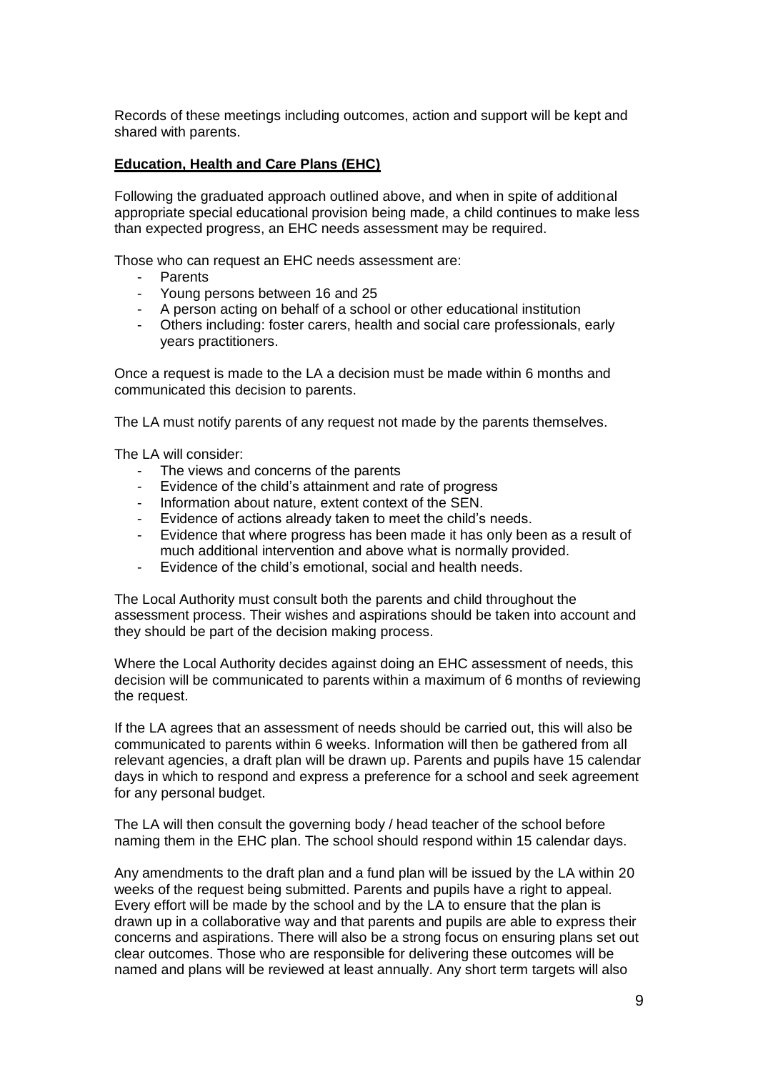Records of these meetings including outcomes, action and support will be kept and shared with parents.

#### **Education, Health and Care Plans (EHC)**

Following the graduated approach outlined above, and when in spite of additional appropriate special educational provision being made, a child continues to make less than expected progress, an EHC needs assessment may be required.

Those who can request an EHC needs assessment are:

- **Parents**
- Young persons between 16 and 25
- A person acting on behalf of a school or other educational institution
- Others including: foster carers, health and social care professionals, early years practitioners.

Once a request is made to the LA a decision must be made within 6 months and communicated this decision to parents.

The LA must notify parents of any request not made by the parents themselves.

The LA will consider:

- The views and concerns of the parents
- Evidence of the child's attainment and rate of progress
- Information about nature, extent context of the SEN.
- Evidence of actions already taken to meet the child's needs.
- Evidence that where progress has been made it has only been as a result of much additional intervention and above what is normally provided.
- Evidence of the child's emotional, social and health needs.

The Local Authority must consult both the parents and child throughout the assessment process. Their wishes and aspirations should be taken into account and they should be part of the decision making process.

Where the Local Authority decides against doing an EHC assessment of needs, this decision will be communicated to parents within a maximum of 6 months of reviewing the request.

If the LA agrees that an assessment of needs should be carried out, this will also be communicated to parents within 6 weeks. Information will then be gathered from all relevant agencies, a draft plan will be drawn up. Parents and pupils have 15 calendar days in which to respond and express a preference for a school and seek agreement for any personal budget.

The LA will then consult the governing body / head teacher of the school before naming them in the EHC plan. The school should respond within 15 calendar days.

Any amendments to the draft plan and a fund plan will be issued by the LA within 20 weeks of the request being submitted. Parents and pupils have a right to appeal. Every effort will be made by the school and by the LA to ensure that the plan is drawn up in a collaborative way and that parents and pupils are able to express their concerns and aspirations. There will also be a strong focus on ensuring plans set out clear outcomes. Those who are responsible for delivering these outcomes will be named and plans will be reviewed at least annually. Any short term targets will also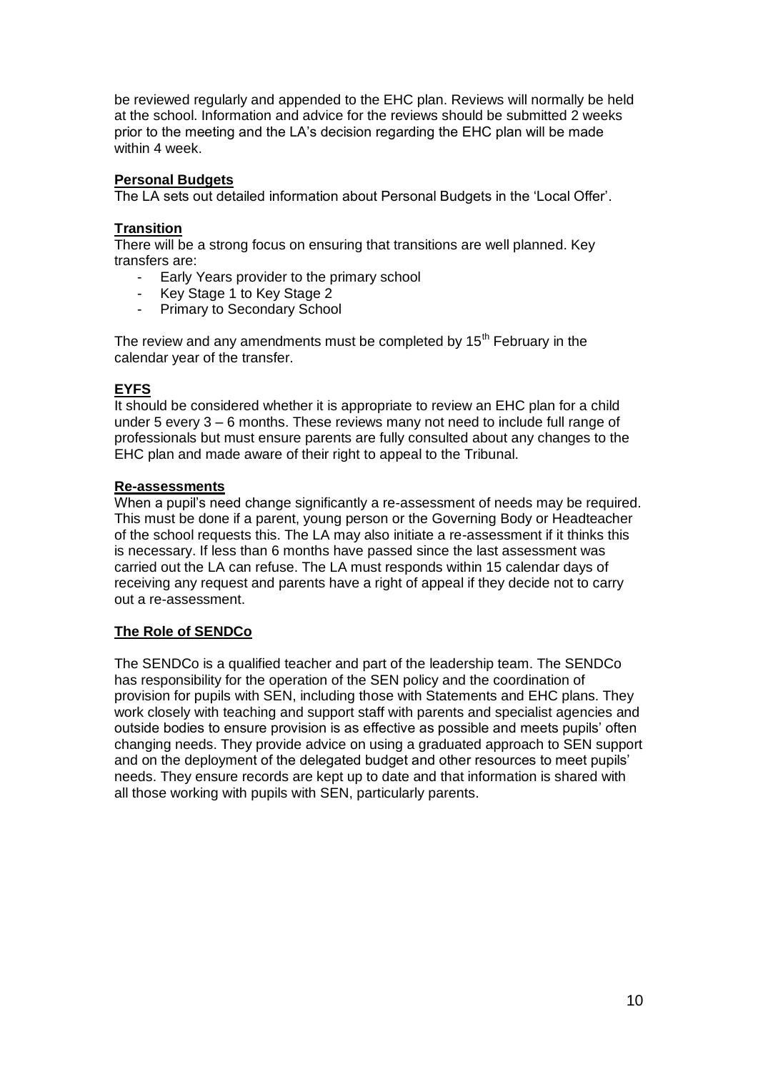be reviewed regularly and appended to the EHC plan. Reviews will normally be held at the school. Information and advice for the reviews should be submitted 2 weeks prior to the meeting and the LA's decision regarding the EHC plan will be made within 4 week.

#### **Personal Budgets**

The LA sets out detailed information about Personal Budgets in the 'Local Offer'.

#### **Transition**

There will be a strong focus on ensuring that transitions are well planned. Key transfers are:

- Early Years provider to the primary school
- Key Stage 1 to Key Stage 2
- Primary to Secondary School

The review and any amendments must be completed by  $15<sup>th</sup>$  February in the calendar year of the transfer.

#### **EYFS**

It should be considered whether it is appropriate to review an EHC plan for a child under 5 every 3 – 6 months. These reviews many not need to include full range of professionals but must ensure parents are fully consulted about any changes to the EHC plan and made aware of their right to appeal to the Tribunal.

#### **Re-assessments**

When a pupil's need change significantly a re-assessment of needs may be required. This must be done if a parent, young person or the Governing Body or Headteacher of the school requests this. The LA may also initiate a re-assessment if it thinks this is necessary. If less than 6 months have passed since the last assessment was carried out the LA can refuse. The LA must responds within 15 calendar days of receiving any request and parents have a right of appeal if they decide not to carry out a re-assessment.

#### **The Role of SENDCo**

The SENDCo is a qualified teacher and part of the leadership team. The SENDCo has responsibility for the operation of the SEN policy and the coordination of provision for pupils with SEN, including those with Statements and EHC plans. They work closely with teaching and support staff with parents and specialist agencies and outside bodies to ensure provision is as effective as possible and meets pupils' often changing needs. They provide advice on using a graduated approach to SEN support and on the deployment of the delegated budget and other resources to meet pupils' needs. They ensure records are kept up to date and that information is shared with all those working with pupils with SEN, particularly parents.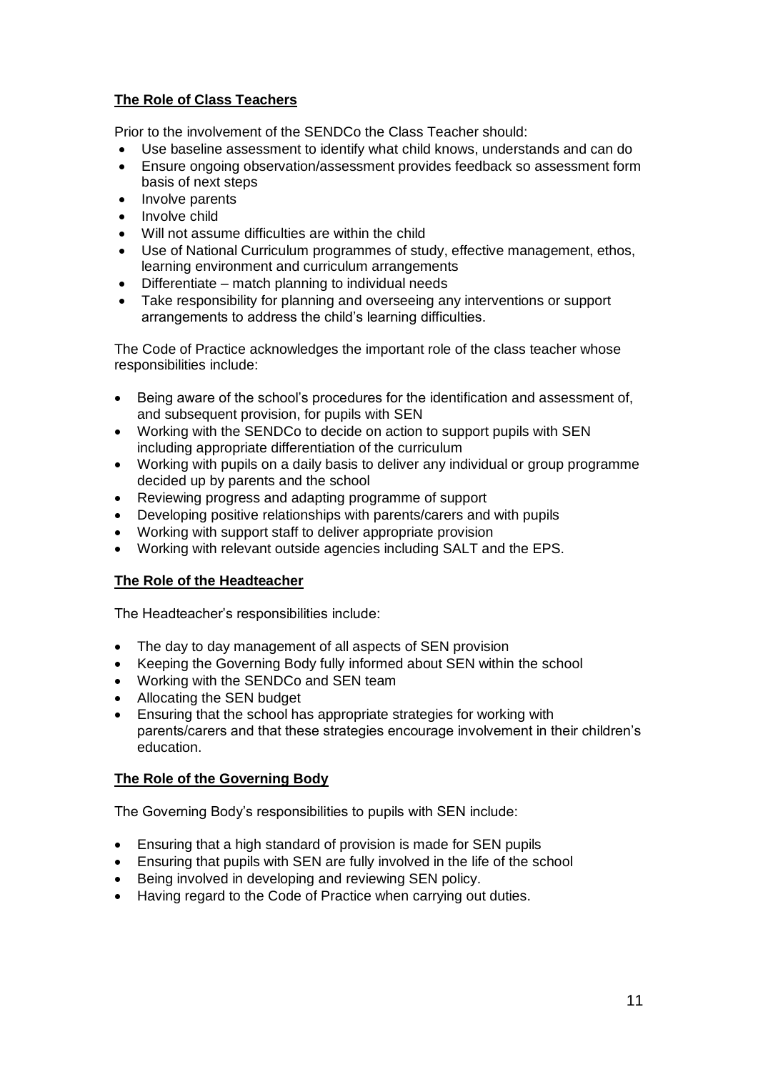#### **The Role of Class Teachers**

Prior to the involvement of the SENDCo the Class Teacher should:

- Use baseline assessment to identify what child knows, understands and can do
- Ensure ongoing observation/assessment provides feedback so assessment form basis of next steps
- Involve parents
- Involve child
- Will not assume difficulties are within the child
- Use of National Curriculum programmes of study, effective management, ethos, learning environment and curriculum arrangements
- Differentiate match planning to individual needs
- Take responsibility for planning and overseeing any interventions or support arrangements to address the child's learning difficulties.

The Code of Practice acknowledges the important role of the class teacher whose responsibilities include:

- Being aware of the school's procedures for the identification and assessment of, and subsequent provision, for pupils with SEN
- Working with the SENDCo to decide on action to support pupils with SEN including appropriate differentiation of the curriculum
- Working with pupils on a daily basis to deliver any individual or group programme decided up by parents and the school
- Reviewing progress and adapting programme of support
- Developing positive relationships with parents/carers and with pupils
- Working with support staff to deliver appropriate provision
- Working with relevant outside agencies including SALT and the EPS.

#### **The Role of the Headteacher**

The Headteacher's responsibilities include:

- The day to day management of all aspects of SEN provision
- Keeping the Governing Body fully informed about SEN within the school
- Working with the SENDCo and SEN team
- Allocating the SEN budget
- Ensuring that the school has appropriate strategies for working with parents/carers and that these strategies encourage involvement in their children's education.

#### **The Role of the Governing Body**

The Governing Body's responsibilities to pupils with SEN include:

- Ensuring that a high standard of provision is made for SEN pupils
- Ensuring that pupils with SEN are fully involved in the life of the school
- Being involved in developing and reviewing SEN policy.
- Having regard to the Code of Practice when carrying out duties.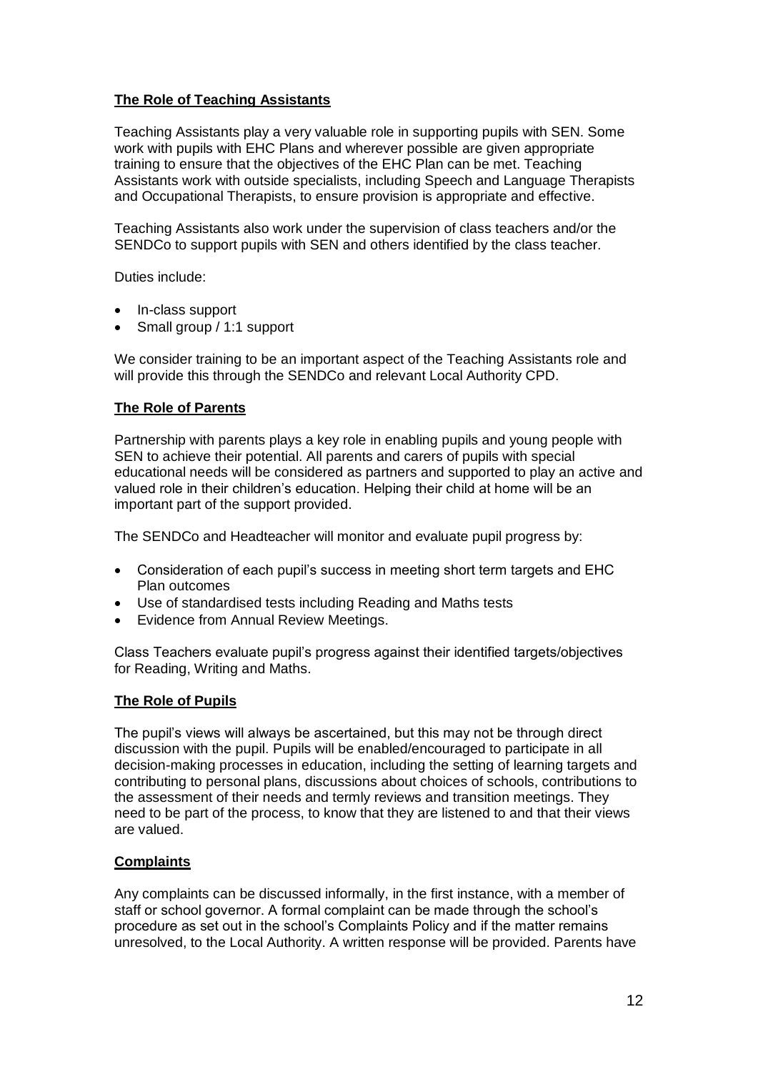#### **The Role of Teaching Assistants**

Teaching Assistants play a very valuable role in supporting pupils with SEN. Some work with pupils with EHC Plans and wherever possible are given appropriate training to ensure that the objectives of the EHC Plan can be met. Teaching Assistants work with outside specialists, including Speech and Language Therapists and Occupational Therapists, to ensure provision is appropriate and effective.

Teaching Assistants also work under the supervision of class teachers and/or the SENDCo to support pupils with SEN and others identified by the class teacher.

Duties include:

- In-class support
- Small group / 1:1 support

We consider training to be an important aspect of the Teaching Assistants role and will provide this through the SENDCo and relevant Local Authority CPD.

#### **The Role of Parents**

Partnership with parents plays a key role in enabling pupils and young people with SEN to achieve their potential. All parents and carers of pupils with special educational needs will be considered as partners and supported to play an active and valued role in their children's education. Helping their child at home will be an important part of the support provided.

The SENDCo and Headteacher will monitor and evaluate pupil progress by:

- Consideration of each pupil's success in meeting short term targets and EHC Plan outcomes
- Use of standardised tests including Reading and Maths tests
- Evidence from Annual Review Meetings.

Class Teachers evaluate pupil's progress against their identified targets/objectives for Reading, Writing and Maths.

#### **The Role of Pupils**

The pupil's views will always be ascertained, but this may not be through direct discussion with the pupil. Pupils will be enabled/encouraged to participate in all decision-making processes in education, including the setting of learning targets and contributing to personal plans, discussions about choices of schools, contributions to the assessment of their needs and termly reviews and transition meetings. They need to be part of the process, to know that they are listened to and that their views are valued.

#### **Complaints**

Any complaints can be discussed informally, in the first instance, with a member of staff or school governor. A formal complaint can be made through the school's procedure as set out in the school's Complaints Policy and if the matter remains unresolved, to the Local Authority. A written response will be provided. Parents have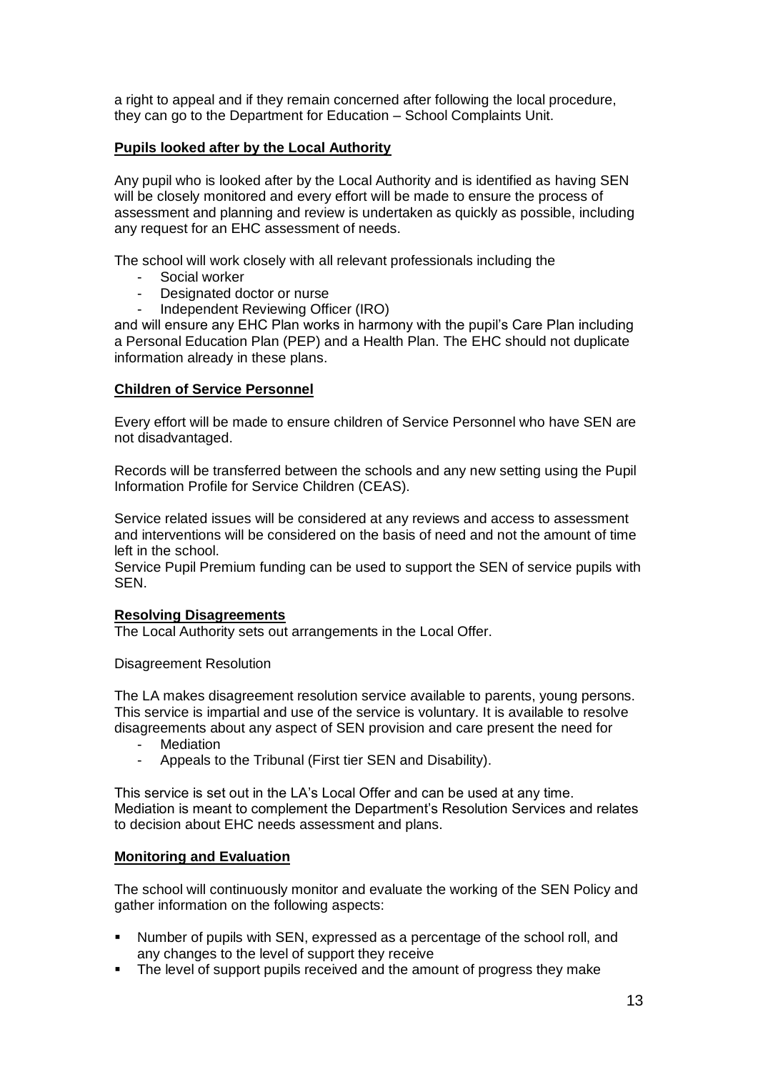a right to appeal and if they remain concerned after following the local procedure, they can go to the Department for Education – School Complaints Unit.

#### **Pupils looked after by the Local Authority**

Any pupil who is looked after by the Local Authority and is identified as having SEN will be closely monitored and every effort will be made to ensure the process of assessment and planning and review is undertaken as quickly as possible, including any request for an EHC assessment of needs.

The school will work closely with all relevant professionals including the

- Social worker
- Designated doctor or nurse
- Independent Reviewing Officer (IRO)

and will ensure any EHC Plan works in harmony with the pupil's Care Plan including a Personal Education Plan (PEP) and a Health Plan. The EHC should not duplicate information already in these plans.

#### **Children of Service Personnel**

Every effort will be made to ensure children of Service Personnel who have SEN are not disadvantaged.

Records will be transferred between the schools and any new setting using the Pupil Information Profile for Service Children (CEAS).

Service related issues will be considered at any reviews and access to assessment and interventions will be considered on the basis of need and not the amount of time left in the school.

Service Pupil Premium funding can be used to support the SEN of service pupils with SEN.

#### **Resolving Disagreements**

The Local Authority sets out arrangements in the Local Offer.

#### Disagreement Resolution

The LA makes disagreement resolution service available to parents, young persons. This service is impartial and use of the service is voluntary. It is available to resolve disagreements about any aspect of SEN provision and care present the need for

- **Mediation**
- Appeals to the Tribunal (First tier SEN and Disability).

This service is set out in the LA's Local Offer and can be used at any time. Mediation is meant to complement the Department's Resolution Services and relates to decision about EHC needs assessment and plans.

#### **Monitoring and Evaluation**

The school will continuously monitor and evaluate the working of the SEN Policy and gather information on the following aspects:

- Number of pupils with SEN, expressed as a percentage of the school roll, and any changes to the level of support they receive
- The level of support pupils received and the amount of progress they make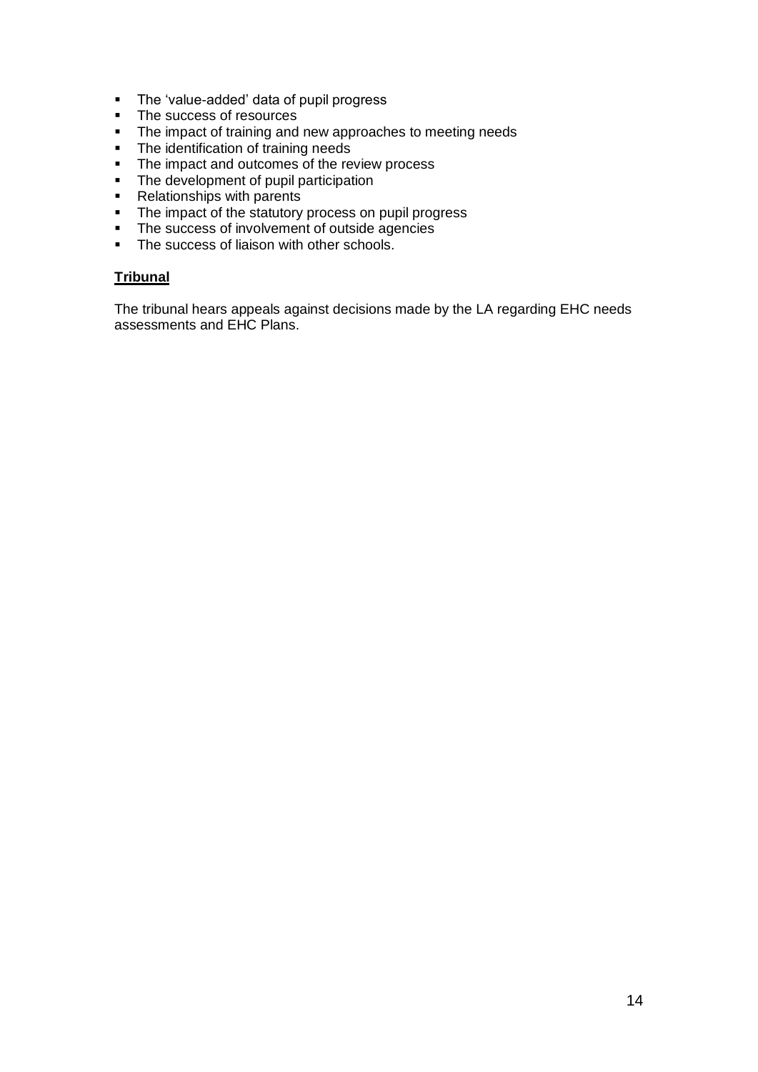- **The 'value-added' data of pupil progress**
- The success of resources
- The impact of training and new approaches to meeting needs
- The identification of training needs
- The impact and outcomes of the review process
- The development of pupil participation
- **Relationships with parents**
- The impact of the statutory process on pupil progress
- The success of involvement of outside agencies
- The success of liaison with other schools.

#### **Tribunal**

The tribunal hears appeals against decisions made by the LA regarding EHC needs assessments and EHC Plans.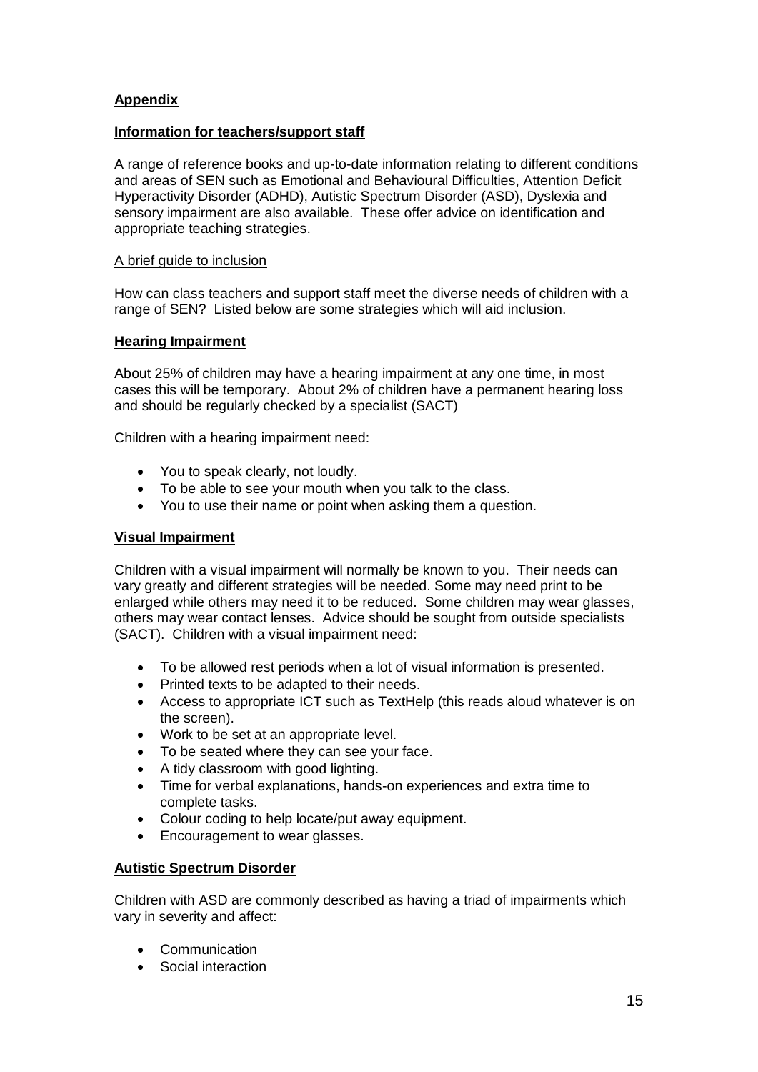#### **Appendix**

#### **Information for teachers/support staff**

A range of reference books and up-to-date information relating to different conditions and areas of SEN such as Emotional and Behavioural Difficulties, Attention Deficit Hyperactivity Disorder (ADHD), Autistic Spectrum Disorder (ASD), Dyslexia and sensory impairment are also available. These offer advice on identification and appropriate teaching strategies.

#### A brief guide to inclusion

How can class teachers and support staff meet the diverse needs of children with a range of SEN? Listed below are some strategies which will aid inclusion.

#### **Hearing Impairment**

About 25% of children may have a hearing impairment at any one time, in most cases this will be temporary. About 2% of children have a permanent hearing loss and should be regularly checked by a specialist (SACT)

Children with a hearing impairment need:

- You to speak clearly, not loudly.
- To be able to see your mouth when you talk to the class.
- You to use their name or point when asking them a question.

#### **Visual Impairment**

Children with a visual impairment will normally be known to you. Their needs can vary greatly and different strategies will be needed. Some may need print to be enlarged while others may need it to be reduced. Some children may wear glasses, others may wear contact lenses. Advice should be sought from outside specialists (SACT). Children with a visual impairment need:

- To be allowed rest periods when a lot of visual information is presented.
- Printed texts to be adapted to their needs.
- Access to appropriate ICT such as TextHelp (this reads aloud whatever is on the screen).
- Work to be set at an appropriate level.
- To be seated where they can see your face.
- A tidy classroom with good lighting.
- Time for verbal explanations, hands-on experiences and extra time to complete tasks.
- Colour coding to help locate/put away equipment.
- Encouragement to wear glasses.

#### **Autistic Spectrum Disorder**

Children with ASD are commonly described as having a triad of impairments which vary in severity and affect:

- Communication
- Social interaction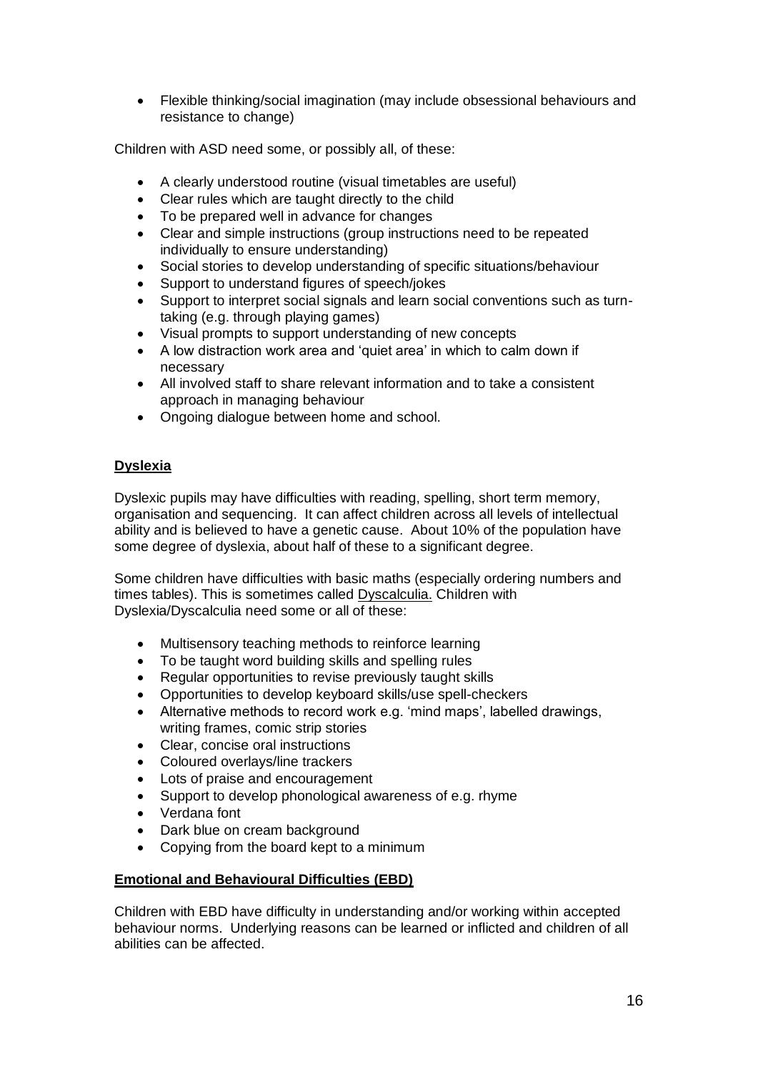Flexible thinking/social imagination (may include obsessional behaviours and resistance to change)

Children with ASD need some, or possibly all, of these:

- A clearly understood routine (visual timetables are useful)
- Clear rules which are taught directly to the child
- To be prepared well in advance for changes
- Clear and simple instructions (group instructions need to be repeated individually to ensure understanding)
- Social stories to develop understanding of specific situations/behaviour
- Support to understand figures of speech/jokes
- Support to interpret social signals and learn social conventions such as turntaking (e.g. through playing games)
- Visual prompts to support understanding of new concepts
- A low distraction work area and 'quiet area' in which to calm down if necessary
- All involved staff to share relevant information and to take a consistent approach in managing behaviour
- Ongoing dialogue between home and school.

#### **Dyslexia**

Dyslexic pupils may have difficulties with reading, spelling, short term memory, organisation and sequencing. It can affect children across all levels of intellectual ability and is believed to have a genetic cause. About 10% of the population have some degree of dyslexia, about half of these to a significant degree.

Some children have difficulties with basic maths (especially ordering numbers and times tables). This is sometimes called Dyscalculia. Children with Dyslexia/Dyscalculia need some or all of these:

- Multisensory teaching methods to reinforce learning
- To be taught word building skills and spelling rules
- Regular opportunities to revise previously taught skills
- Opportunities to develop keyboard skills/use spell-checkers
- Alternative methods to record work e.g. 'mind maps', labelled drawings, writing frames, comic strip stories
- Clear, concise oral instructions
- Coloured overlays/line trackers
- Lots of praise and encouragement
- Support to develop phonological awareness of e.g. rhyme
- Verdana font
- Dark blue on cream background
- Copying from the board kept to a minimum

#### **Emotional and Behavioural Difficulties (EBD)**

Children with EBD have difficulty in understanding and/or working within accepted behaviour norms. Underlying reasons can be learned or inflicted and children of all abilities can be affected.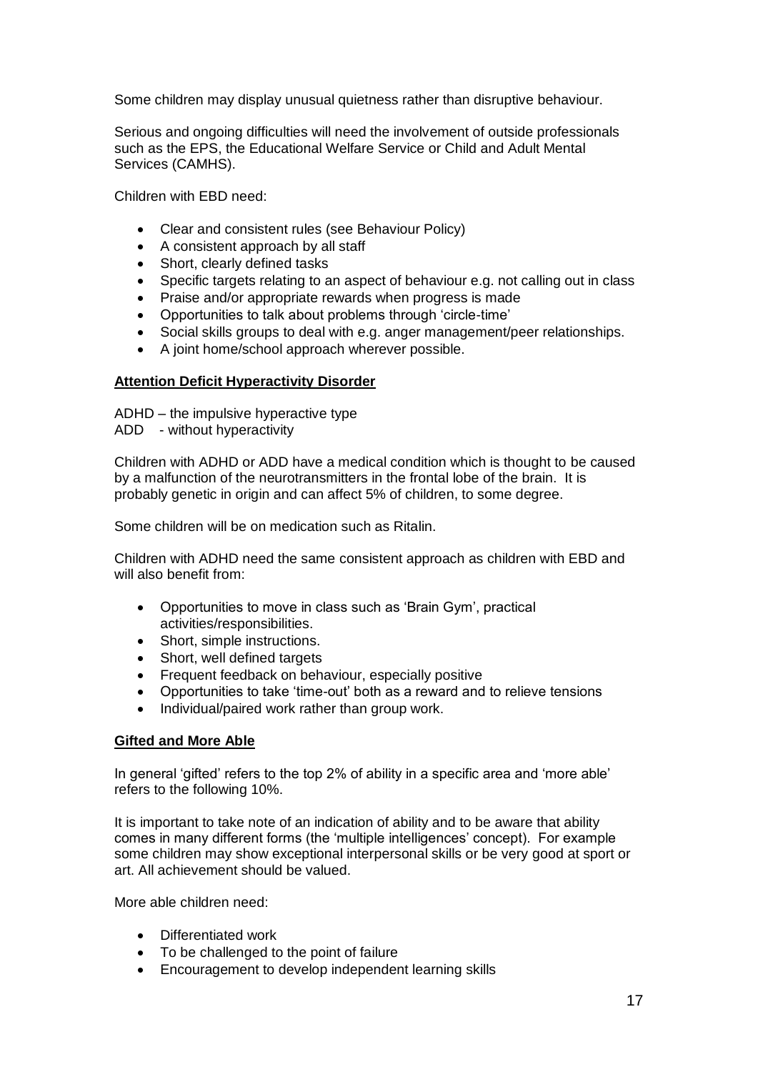Some children may display unusual quietness rather than disruptive behaviour.

Serious and ongoing difficulties will need the involvement of outside professionals such as the EPS, the Educational Welfare Service or Child and Adult Mental Services (CAMHS).

Children with EBD need:

- Clear and consistent rules (see Behaviour Policy)
- A consistent approach by all staff
- Short, clearly defined tasks
- Specific targets relating to an aspect of behaviour e.g. not calling out in class
- Praise and/or appropriate rewards when progress is made
- Opportunities to talk about problems through 'circle-time'
- Social skills groups to deal with e.g. anger management/peer relationships.
- A joint home/school approach wherever possible.

#### **Attention Deficit Hyperactivity Disorder**

ADHD – the impulsive hyperactive type

ADD - without hyperactivity

Children with ADHD or ADD have a medical condition which is thought to be caused by a malfunction of the neurotransmitters in the frontal lobe of the brain. It is probably genetic in origin and can affect 5% of children, to some degree.

Some children will be on medication such as Ritalin.

Children with ADHD need the same consistent approach as children with EBD and will also benefit from:

- Opportunities to move in class such as 'Brain Gym', practical activities/responsibilities.
- Short, simple instructions.
- Short, well defined targets
- Frequent feedback on behaviour, especially positive
- Opportunities to take 'time-out' both as a reward and to relieve tensions
- Individual/paired work rather than group work.

#### **Gifted and More Able**

In general 'gifted' refers to the top 2% of ability in a specific area and 'more able' refers to the following 10%.

It is important to take note of an indication of ability and to be aware that ability comes in many different forms (the 'multiple intelligences' concept). For example some children may show exceptional interpersonal skills or be very good at sport or art. All achievement should be valued.

More able children need:

- Differentiated work
- To be challenged to the point of failure
- Encouragement to develop independent learning skills